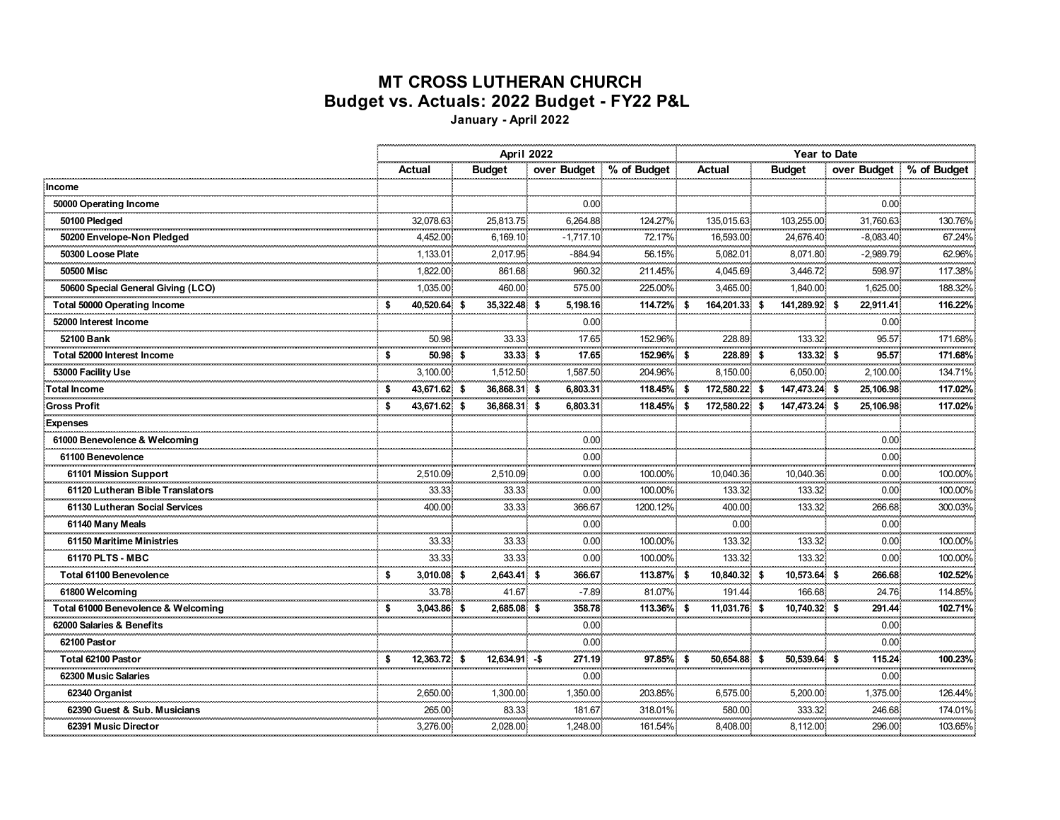## **MT CROSS LUTHERAN CHURCH Budget vs. Actuals: 2022 Budget - FY22 P&L**

**January - April 2022**

|                                     |                    |                                     | April 2022                 |              |                            |               | <b>Year to Date</b>      |                         |  |  |  |  |
|-------------------------------------|--------------------|-------------------------------------|----------------------------|--------------|----------------------------|---------------|--------------------------|-------------------------|--|--|--|--|
|                                     | Actual             | <b>Budget</b>                       | over Budget % of Budget    |              | Actual                     | <b>Budget</b> |                          | over Budget % of Budget |  |  |  |  |
| Income                              |                    |                                     |                            |              |                            |               |                          |                         |  |  |  |  |
| 50000 Operating Income              |                    |                                     | 0.00                       |              |                            |               | 0.00.                    |                         |  |  |  |  |
| 50100 Pledged                       | 32,078.63          | 25,813.75                           | 6,264.88                   | 124.27%      | 135,015.63                 | 103,255.00    | 31,760.63                | 130.76%                 |  |  |  |  |
| 50200 Envelope-Non Pledged          | 4,452.00           | 6,169.10                            | $-1,717.10$                | 72.17%       | 16,593.00                  | 24,676.40     | $-8,083.40,$             | 67.24%                  |  |  |  |  |
| 50300 Loose Plate                   | 1,133.01           | 2,017.95                            | $-884.94$                  | 56.15%       | 5,082.01                   | 8,071.80      | $-2,989.79$              | 62.96%                  |  |  |  |  |
| 50500 Misc                          | 1,822.00           | 861.68<br>------------------------- | 960.32                     | 211.45%<br>. | 4,045.69<br>ananananana ka | 3,446.72      | 598.97<br>-------------- | 117.38%                 |  |  |  |  |
| 50600 Special General Giving (LCO)  | 1,035.00           | 460.00                              | 575.00                     | 225.00%      | 3,465.00                   | 1,840.00      | 1,625.00                 | 188.32%                 |  |  |  |  |
| <b>Total 50000 Operating Income</b> | 40.520.64 \$<br>S  | 35,322.48 \$                        | 5,198.16                   | 114.72% \$   | 164,201.33 \$              | 141,289.92 \$ | 22,911.41                | 116.22%                 |  |  |  |  |
| 52000 Interest Income               |                    |                                     | 0.00                       |              |                            |               | 0.00                     |                         |  |  |  |  |
| 52100 Bank                          | 50.98              | 33.33                               | 17.65<br>.                 | 152.96%      | 228.89                     | 133.32        | 95.57                    | 171.68%                 |  |  |  |  |
| Total 52000 Interest Income         | 50.98 \$<br>\$     | 33.33 \$                            | 17.65                      | 152.96% \$   | 228.89 \$                  | 133.32 \$     | . 6<br>95.57             | 171.68%                 |  |  |  |  |
| 53000 Facility Use                  | 3,100.00           | 1,512.50                            | 1,587.50                   | 204.96%      | 8,150.00                   | 6,050.00      | 2,100.00                 | 134.71%                 |  |  |  |  |
| Total Income                        | 43,671.62 \$<br>Ŝ. | 36,868.31 \$                        | 6,803.31                   | 118.45% \$   | 172,580.22 \$              | 147,473.24 \$ | 25,106.98                | 117.02%                 |  |  |  |  |
| <b>Gross Profit</b>                 | 43,671.62 \$<br>Ŝ. | 36,868.31 \$                        | 6,803.31                   | 118.45% \$   | 172,580.22 \$              | 147,473.24 \$ | 25,106.98                | 117.02%                 |  |  |  |  |
| <b>Expenses</b>                     |                    |                                     |                            |              |                            |               |                          |                         |  |  |  |  |
| 61000 Benevolence & Welcoming       |                    |                                     | 0.00                       |              |                            |               | 0.00                     |                         |  |  |  |  |
| 61100 Benevolence                   |                    |                                     | 0.00                       |              |                            |               | 0.00                     |                         |  |  |  |  |
| 61101 Mission Support               | 2.510.09           | 2.510.09                            | 0.00                       | 100.00%      | 10.040.36                  | 10.040.36     | 0.00 <sub>1</sub>        | 100.00%                 |  |  |  |  |
| 61120 Lutheran Bible Translators    | 33.33              | 33.33                               | .<br>0.00 <sub>1</sub>     | 100.00%      | 133.32                     | 133.32        | 0.00 <sub>1</sub>        | 100.00%                 |  |  |  |  |
| 61130 Lutheran Social Services      | 400.00             | 33.33                               | 366.67                     | 1200.12%     | 400.00                     | 133.32        | 266.68                   | 300.03%                 |  |  |  |  |
| 61140 Many Meals                    |                    |                                     | 0.00 <sub>1</sub><br>mmmin |              | 0.00<br>ana mara           | ana masa      | 0.00                     |                         |  |  |  |  |
| 61150 Maritime Ministries           | 33.33              | 33.33                               | 0.00                       | 100.00%      | 133.32                     | 133.32        | 0.00.                    | 100.00%                 |  |  |  |  |
| 61170 PLTS - MBC                    | 33.33              | 33.33                               | 0.00                       | 100.00%      | 133.32                     | 133.32        | 0.00 <sub>1</sub>        | 100.00%                 |  |  |  |  |
| Total 61100 Benevolence             | 3,010.08 \$<br>s.  | 2.643.41 \$                         | 366.67                     | 113.87% \$   | 10,840.32 \$               | 10,573.64 \$  | 266.68                   | 102.52%                 |  |  |  |  |
| 61800 Welcoming                     | 33.78              | 41.67                               | $-7.89$                    | 81.07%       | 191.44                     | 166.68        | 24.76                    | 114.85%                 |  |  |  |  |
| Total 61000 Benevolence & Welcoming | 3,043.86 \$<br>Ŝ.  | 2,685.08 \$                         | 358.78                     | 113.36% \$   | 11,031.76 \$               | 10,740.32 \$  | 291.44                   | 102.71%                 |  |  |  |  |
| 62000 Salaries & Benefits           |                    |                                     | 0.00                       |              |                            |               | 0.00 <sub>1</sub>        |                         |  |  |  |  |
| 62100 Pastor                        |                    |                                     | 0.00                       |              |                            |               | 0.00 <sub>1</sub>        |                         |  |  |  |  |
| Total 62100 Pastor                  | 12,363.72 \$<br>Ŝ. | $12,634.91 - $$                     | 271.19                     | 97.85% \$    | 50,654.88 \$               | 50,539.64 \$  | 115.24                   | 100.23%                 |  |  |  |  |
| 62300 Music Salaries                |                    |                                     | 0.00                       |              |                            |               | 0.00                     |                         |  |  |  |  |
| 62340 Organist                      | 2,650.00           | 1,300.00                            | 1,350.00                   | 203.85%      | 6,575.00                   | 5,200.00      | 1,375.00                 | 126.44%                 |  |  |  |  |
| 62390 Guest & Sub. Musicians        | 265.00             | 83.33                               | 181.67                     | 318.01%      | 580.00                     | 333.32        | 246.68                   | 174.01%                 |  |  |  |  |
| 62391 Music Director                | 3,276.00           | 2,028.00                            | 1,248.00                   | 161.54%      | 8,408.00                   | 8,112.00      | 296.00                   | 103.65%                 |  |  |  |  |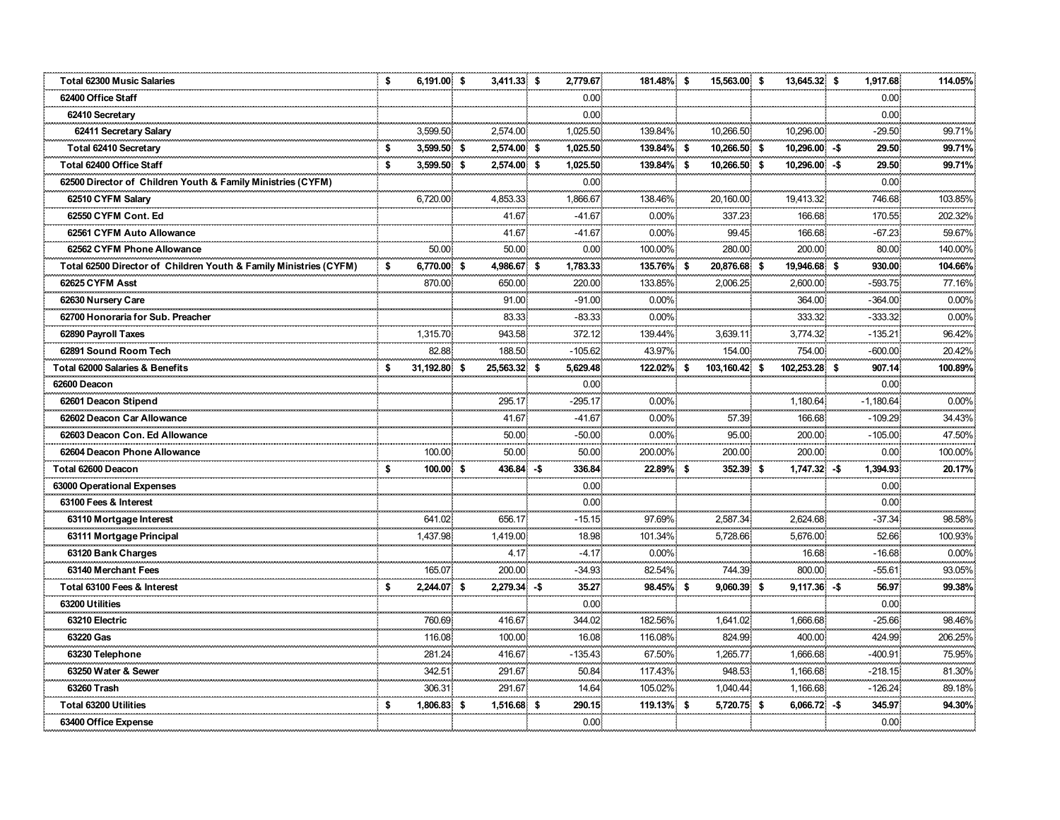| <b>Total 62300 Music Salaries</b>                                 | \$   | 6,191.00 \$  |     | 3,411.33 \$    | 2,779.67          | 181.48% \$    | 15,563.00 \$      | 13,645.32 \$   | 1,917.68.         | 114.05%             |
|-------------------------------------------------------------------|------|--------------|-----|----------------|-------------------|---------------|-------------------|----------------|-------------------|---------------------|
| 62400 Office Staff                                                |      |              |     |                | 0.00              |               |                   |                | 0.00 <sub>1</sub> |                     |
| 62410 Secretary                                                   |      |              |     |                | 0.00              |               |                   |                | 0.00.             |                     |
| 62411 Secretary Salary                                            |      | 3,599.50     |     | 2,574.00       | 1,025.50          | 139.84%       | 10,266.50         | 10.296.00      | $-29.50$          | 99.71%              |
| Total 62410 Secretary                                             | \$   | 3,599.50 \$  |     | 2,574.00 \$    | 1,025.50          | 139.84% \$    | 10,266.50 \$      | 10,296.00 -\$  | 29.50             | 99.71%              |
| Total 62400 Office Staff                                          | - \$ | 3,599.50 \$  |     | 2,574.00 \$    | 1,025.50          | 139.84% \$    | 10,266.50 \$      | 10,296.00 -\$  | 29.50             | 99.71%              |
| 62500 Director of Children Youth & Family Ministries (CYFM)       |      |              |     |                | 0.00              |               |                   |                | 0.00.             |                     |
| 62510 CYFM Salary                                                 |      | 6,720.00     |     | 4,853.33       | 1.866.67          | 138.46%       | 20,160.00         | 19,413.32      | 746.68            | 103.85%             |
| 62550 CYFM Cont. Ed                                               |      |              |     | 41.67          | $-41.67$          | $0.00\%$      | 337.23            | 166.68         | 170.55            | 202.32%             |
| 62561 CYFM Auto Allowance                                         |      |              |     | 41.67          | $-41.67$          | $0.00\%$      | 99.45             | 166.68         | $-67.23$          | 59.67%              |
| 62562 CYFM Phone Allowance                                        |      | 50.00        |     | 50.00          | 0.00              | 100.00%       | 280.00            | 200.00         | 80.00             | 140.00%             |
| Total 62500 Director of Children Youth & Family Ministries (CYFM) | -\$  | 6,770.00 \$  |     | 4,986.67 \$    | 1,783.33          | 135.76% \$    | 20,876.68 \$      | 19,946.68 \$   | 930.00            | 104.66%             |
| 62625 CYFM Asst                                                   |      | 870.00       |     | 650.00         | 220.00            | 133.85%       | 2.006.25          | 2.600.00       | $-593.75$         | 77.16%              |
| 62630 Nursery Care                                                |      |              |     | 91.00          | $-91.00$          | $0.00\%$      |                   | 364.00         | $-364.00$         | 0.00%               |
| 62700 Honoraria for Sub. Preacher                                 |      |              |     | 83.33          | $-83.33$          | $0.00\%$<br>. |                   | 333.32         | $-333.32.$        | 0.00%               |
| 62890 Payroll Taxes                                               |      | 1.315.70     |     | 943.58         | 372.12            | 139.44%       | 3.639.11          | 3,774.32       | $-135.21$         | 96.42%              |
| 62891 Sound Room Tech                                             |      | 82.88        |     | 188.50         | $-105.62$         | 43.97%        | 154.00            | 754.00         | $-600.00$         | 20.42%              |
| <b>Total 62000 Salaries &amp; Benefits</b>                        | - \$ | 31,192.80 \$ |     | 25,563.32 \$   | 5,629.48          | 122.02% \$    | 103,160.42 \$     | 102,253.28 \$  | 907.14            | 100.89%             |
| 62600 Deacon                                                      |      |              |     |                | 0.00              |               |                   |                | 0.00 <sub>1</sub> |                     |
| 62601 Deacon Stipend                                              |      |              |     | 295.17         | $-295.17$         | $0.00\%$      |                   | 1,180.64       | $-1,180.64$       | 0.00%               |
| 62602 Deacon Car Allowance                                        |      |              |     | 41.67          | $-41.67$          | $0.00\%$      | 57.39             | 166.68         | $-109.29$         | 34.43%              |
| 62603 Deacon Con. Ed Allowance                                    |      |              |     | 50.00          | $-50.00$          | $0.00\%$      | 95.00             | 200.00<br>.    | $-105.00$         | 47.50%              |
| 62604 Deacon Phone Allowance                                      |      | 100.00       |     | 50.00          | 50.00             | 200.00%       | 200.00            | 200.00         | 0.00 <sub>1</sub> | 100.00%             |
| Total 62600 Deacon                                                | -\$  | 100.00 \$    |     | 436.84 - \$    | 336.84            | 22.89% \$     | 352.39 \$         | 1,747.32 -\$   | 1,394.93          | 20.17%              |
| <b>63000 Operational Expenses</b>                                 |      |              |     |                | 0.00              |               |                   |                | 0.00 <sub>1</sub> |                     |
| 63100 Fees & Interest                                             |      |              |     |                | 0.00 <sub>1</sub> |               |                   |                | 0.00 <sub>1</sub> |                     |
| 63110 Mortgage Interest                                           |      | 641.02       |     | 656.17         | $-15.15$          | 97.69%        | 2,587.34          | 2,624.68       | $-37.34$          | 98.58%              |
| 63111 Mortgage Principal                                          |      | 1,437.98     |     | 1,419.00       | 18.98             | 101.34%       | 5,728.66          | 5,676.00       | 52.66             | 100.93%<br>anananan |
| 63120 Bank Charges                                                |      |              |     | 4.17           | $-4.17$           | $0.00\%$      |                   | 16.68          | $-16.68$          | 0.00%               |
| 63140 Merchant Fees                                               |      | 165.07       |     | 200.00         | $-34.93$<br>. 3   | 82.54%        | 744.39            | 800.00         | $-55.61$          | 93.05%              |
| Total 63100 Fees & Interest                                       | - \$ | 2,244.07 \$  |     | $2,279.34 - $$ | 35.27             | 98.45% \$     | 9,060.39 \$       | $9,117.36 - $$ | 56.97             | 99.38%              |
| 63200 Utilities                                                   |      |              |     |                | 0.00              |               |                   |                | 0.00 <sub>1</sub> |                     |
| 63210 Electric                                                    |      | 760.69       |     | 416.67         | 344.02            | 182.56%       | 1.641.02          | 1.666.68       | $-25.66$          | 98.46%              |
| 63220 Gas                                                         |      | 116.08       |     | 100.00         | 16.08             | 116.08%       | 824.99            | 400.00         | 424.99            | 206.25%             |
| 63230 Telephone                                                   |      | 281.24       |     | 416.67         | $-135.43$         | 67.50%        | 1,265.77          | 1,666.68       | $-400.91$         | 75.95%              |
| 63250 Water & Sewer                                               |      | 342.51       |     | 291.67         | 50.84             | 117.43%       | 948.53            | 1.166.68       | $-218.15$         | 81.30%              |
| 63260 Trash                                                       |      | 306.31       |     | 291.67         | 14.64             | 105.02%       | 1,040.44          | 1.166.68       | $-126.24$         | 89.18%              |
| Total 63200 Utilities                                             | -S   |              |     |                |                   |               |                   |                |                   |                     |
|                                                                   |      | 1,806.83     | -\$ | 1,516.68 \$    | 290.15            | 119.13%       | \$<br>5,720.75 \$ | $6,066.72 - $$ | 345.97            | 94.30%              |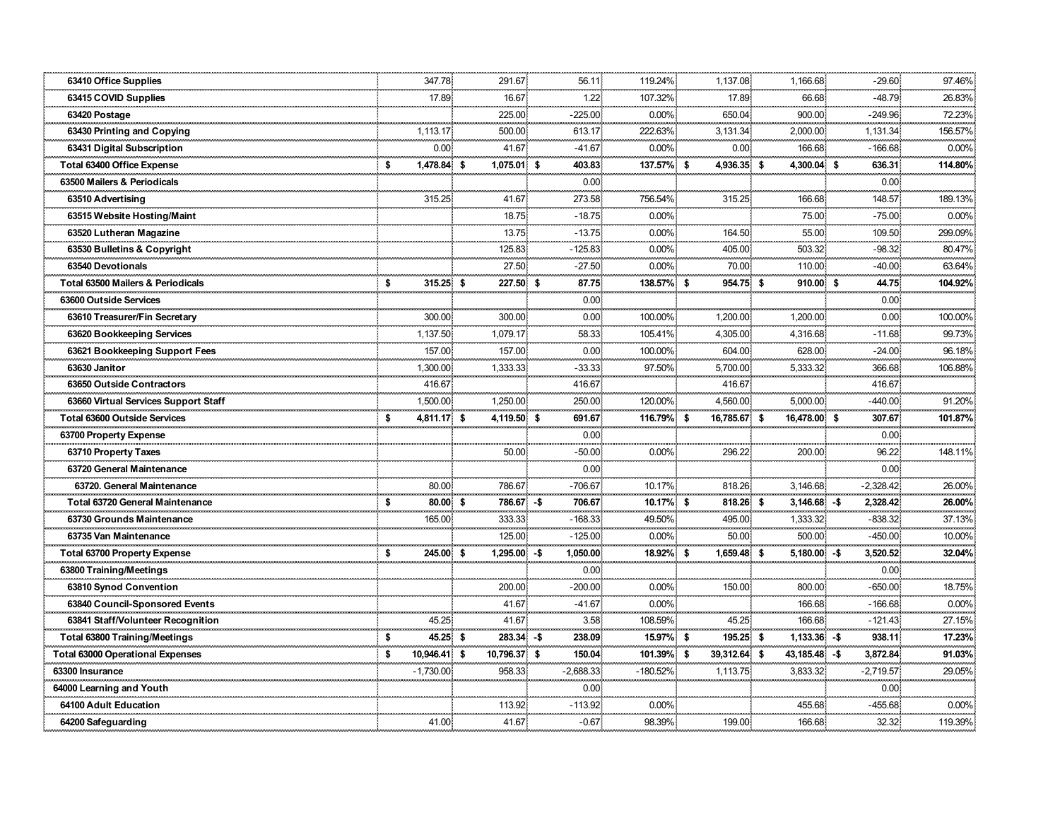| 63410 Office Supplies                        |    | 347.78       | 291.67                     |              | 56.11                  | 119.24%    | 1,137.08     | 1,166.68       | $-29.60$               | 97.46%   |
|----------------------------------------------|----|--------------|----------------------------|--------------|------------------------|------------|--------------|----------------|------------------------|----------|
| 63415 COVID Supplies                         |    | 17.89        | 16.67                      |              | 1.22                   | 107.32%    | 17.89        | 66.68          | $-48.79$               | 26.83%   |
| 63420 Postage                                |    |              | 225.00                     |              | $-225.00$              | 0.00%      | 650.04       | 900.00         | $-249.96$              | 72.23%   |
| 63430 Printing and Copying                   |    | 1,113.17     | 500.00                     |              | 613.17                 | 222.63%    | 3,131.34     | 2,000.00       | 1,131.34               | 156.57%  |
| 63431 Digital Subscription                   |    | 0.00         | 41.67                      |              | $-41.67$               | 0.00%      | 0.00         | 166.68         | $-166.68$              | $0.00\%$ |
| Total 63400 Office Expense                   | \$ | 1,478.84 \$  | 1,075.01 \$                |              | 403.83                 | 137.57% \$ | 4,936.35 \$  | 4,300.04 \$    | 636.31                 | 114.80%  |
| 63500 Mailers & Periodicals                  |    |              |                            |              | 0.00                   |            |              |                | 0.00                   |          |
| 63510 Advertising                            |    | 315.25       | 41.67<br><b>CONTRACTOR</b> |              | 273.58                 | 756.54%    | 315.25       | 166.68         | 148.57                 | 189.13%  |
| 63515 Website Hosting/Maint                  |    |              | 18.75                      |              | $-18.75$               | $0.00\%$   |              | 75.00          | $-75.00$               | $0.00\%$ |
| 63520 Lutheran Magazine                      |    |              | 13.75                      |              | $-13.75$               | 0.00%      | 164.50       | 55.00          | 109.50                 | 299.09%  |
| 63530 Bulletins & Copyright                  |    |              | 125.83                     |              | $-125.83$              | 0.00%      | 405.00       | 503.32         | $-98.32$               | 80.47%   |
| 63540 Devotionals                            |    |              | 27.50                      |              | $-27.50$               | $0.00\%$   | 70.00        | 110.00         | $-40.00$               | 63.64%   |
| <b>Total 63500 Mailers &amp; Periodicals</b> | \$ | 315.25 \$    | 227.50 \$                  |              | 87.75                  | 138.57% \$ | 954.75 \$    | 910.00 S       | 44.75                  | 104.92%  |
| 63600 Outside Services                       |    |              |                            |              | 0.00                   |            |              |                | 0.00.                  |          |
| 63610 Treasurer/Fin Secretary                |    | 300.00       | 300.00                     |              | 0.00 <sub>1</sub>      | 100.00%    | 1,200.00     | 1.200.00       | 0.00                   | 100.00%  |
| 63620 Bookkeeping Services                   |    | 1,137.50     | 1,079.17                   |              | 58.33                  | 105.41%    | 4,305.00     | 4,316.68       | $-11.68$               | 99.73%   |
| 63621 Bookkeeping Support Fees               |    | 157.00       | 157.00                     |              | 0.00                   | 100.00%    | 604.00       | 628.00         | $-24.00$               | 96.18%   |
| 63630 Janitor                                |    | 1,300.00     | 1,333.33                   |              | $-33.33$               | 97.50%     | 5,700.00     | 5,333.32       | 366.68                 | 106.88%  |
| 63650 Outside Contractors                    |    | 416.67       |                            |              | 416.67                 |            | 416.67       |                | 416.67                 |          |
| 63660 Virtual Services Support Staff         |    | 1,500.00     | 1,250.00                   |              | 250.00                 | 120.00%    | 4,560.00     | 5,000.00       | $-440.00$              | 91.20%   |
| <b>Total 63600 Outside Services</b>          | S  | 4,811.17 \$  | 4,119.50 \$                |              | 691.67                 | 116.79% \$ | 16,785.67 \$ | 16,478.00 \$   | 307.67                 | 101.87%  |
| 63700 Property Expense                       |    |              |                            |              | 0.00 <sub>1</sub><br>. | .          |              |                | 0.00                   |          |
| 63710 Property Taxes                         |    |              | 50.00                      |              | $-50.00$               | 0.00%      | 296.22       | 200.00         | 96.22                  | 148.11%  |
| 63720 General Maintenance                    |    |              |                            |              | 0.00                   |            |              |                | 0.00                   |          |
| 63720. General Maintenance                   |    | 80.00        | 786.67                     |              | $-706.67$              | 10.17%     | 818.26       | 3,146.68       | $-2,328.42$            | 26.00%   |
| <b>Total 63720 General Maintenance</b>       | \$ | 80.00 \$     |                            | 786.67 -\$   | 706.67                 | 10.17% \$  | 818.26 \$    | $3,146.68 - $$ | 2,328.42               | 26.00%   |
| 63730 Grounds Maintenance                    |    | 165.00       | 333.33                     |              | $-168.33$              | 49.50%     | 495.00       | 1,333.32       | $-838.32$              | 37.13%   |
| 63735 Van Maintenance                        |    |              | 125.00                     |              | $-125.00$              | 0.00%      | 50.00        | 500.00         | $-450.00$              | 10.00%   |
| <b>Total 63700 Property Expense</b>          | \$ | 245.00 \$    | $1,295.00 - $$             |              | 1,050.00               | 18.92% \$  | 1,659.48 \$  | $5,180.00 - $$ | 3,520.52               | 32.04%   |
| 63800 Training/Meetings                      |    |              |                            |              | 0.00                   |            |              |                | 0.00                   | .        |
| 63810 Synod Convention                       |    |              | 200.00                     |              | $-200.00$              | 0.00%      | 150.00       | 800.00         | $-650.00$              | 18.75%   |
| 63840 Council-Sponsored Events               |    |              | 41.67                      |              | $-41.67$               | $0.00\%$   |              | 166.68         | $-166.68$              | $0.00\%$ |
| 63841 Staff/Volunteer Recognition            |    | 45.25        | 41.67                      |              | 3.58                   | 108.59%    | 45.25        | 166.68         | $-121.43$              | 27.15%   |
| <b>Total 63800 Training/Meetings</b>         | s. | 45.25 \$     |                            | $283.34 - $$ | 238.09                 | 15.97% \$  | 195.25 \$    | $1,133.36 - $$ | 938.11                 | 17.23%   |
| <b>Total 63000 Operational Expenses</b>      | -S | 10,946.41 \$ | 10,796.37 \$               |              | 150.04                 | 101.39% \$ | 39,312.64 \$ | 43,185.48 -\$  | 3,872.84               | 91.03%   |
| 63300 Insurance                              |    | $-1,730.00$  | 958.33                     |              | $-2,688.33.$           | $-180.52%$ | 1,113.75     | 3,833.32       | $-2,719.57.$           | 29.05%   |
| 64000 Learning and Youth                     |    |              |                            |              | 0.00 <sub>1</sub>      |            |              |                | 0.00 <sub>1</sub><br>. | .        |
| 64100 Adult Education                        |    |              | 113.92                     |              | $-113.92$              | $0.00\%$   |              | 455.68         | $-455.68$              | $0.00\%$ |
| 64200 Safeguarding                           |    | 41.00        | 41.67                      |              | $-0.67$                | 98.39%     | 199.00       | 166.68         | 32.32                  | 119.39%  |